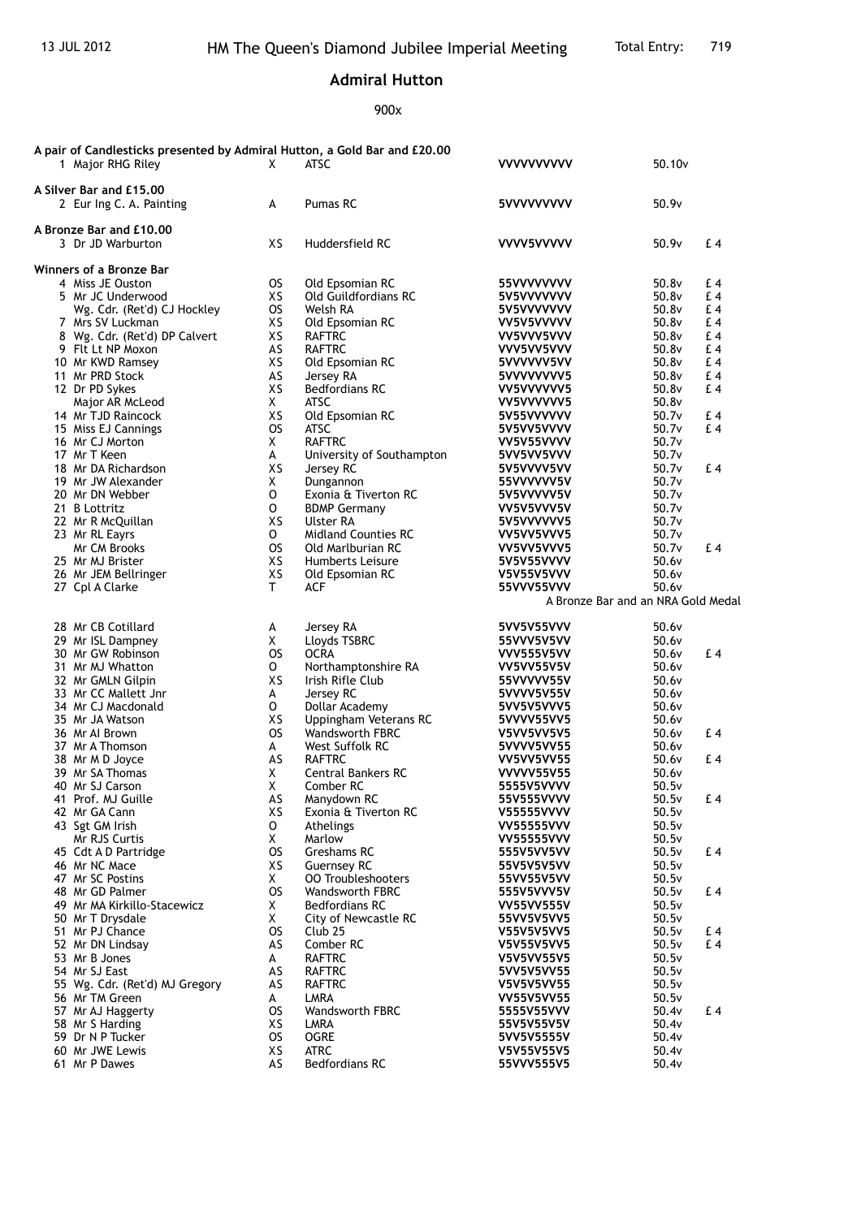## **Admiral Hutton**

900x

|                         | A pair of Candlesticks presented by Admiral Hutton, a Gold Bar and £20.00<br>1 Major RHG Riley | X         | <b>ATSC</b>                             | <b>VVVVVVVVVV</b>                      | 50.10 <sub>v</sub> |           |  |  |  |  |
|-------------------------|------------------------------------------------------------------------------------------------|-----------|-----------------------------------------|----------------------------------------|--------------------|-----------|--|--|--|--|
|                         | A Silver Bar and £15,00<br>2 Eur Ing C. A. Painting                                            | A         | Pumas RC                                | 5VVVVVVVVV                             | 50.9v              |           |  |  |  |  |
|                         | A Bronze Bar and £10.00<br>3 Dr JD Warburton                                                   | XS        | Huddersfield RC                         | VVVV5VVVVV                             | 50.9v              | £4        |  |  |  |  |
| Winners of a Bronze Bar |                                                                                                |           |                                         |                                        |                    |           |  |  |  |  |
|                         | 4 Miss JE Ouston                                                                               | <b>OS</b> | Old Epsomian RC                         | 55VVVVVVVV                             | 50.8v              | £4        |  |  |  |  |
|                         | 5 Mr JC Underwood                                                                              | XS        | <b>Old Guildfordians RC</b>             | 5V5VVVVVVV                             | 50.8v              | £4        |  |  |  |  |
|                         | Wg. Cdr. (Ret'd) CJ Hockley                                                                    | <b>OS</b> | Welsh RA                                | 5V5VVVVVVV                             | 50.8v              | £4        |  |  |  |  |
|                         | 7 Mrs SV Luckman                                                                               | XS        | Old Epsomian RC                         | VV5V5VVVVV                             | 50.8v              | £ 4       |  |  |  |  |
|                         | 8 Wg. Cdr. (Ret'd) DP Calvert                                                                  | XS        | <b>RAFTRC</b>                           | VV5VVV5VVV                             | 50.8v              | £4        |  |  |  |  |
|                         | 9 Flt Lt NP Moxon<br>10 Mr KWD Ramsey                                                          | AS<br>XS  | <b>RAFTRC</b>                           | VVV5VV5VVV<br>5VVVVVV5VV               | 50.8v<br>50.8v     | £ 4<br>£4 |  |  |  |  |
|                         | 11 Mr PRD Stock                                                                                | AS        | Old Epsomian RC<br>Jersey RA            | 5VVVVVVVV5                             | 50.8v              | £ 4       |  |  |  |  |
|                         | 12 Dr PD Sykes                                                                                 | XS        | <b>Bedfordians RC</b>                   | VV5VVVVVV5                             | 50.8v              | £4        |  |  |  |  |
|                         | Major AR McLeod                                                                                | X         | <b>ATSC</b>                             | VV5VVVVVV5                             | 50.8v              |           |  |  |  |  |
|                         | 14 Mr TJD Raincock                                                                             | XS        | Old Epsomian RC                         | 5V55VVVVVV                             | 50.7v              | £4        |  |  |  |  |
|                         | 15 Miss EJ Cannings                                                                            | <b>OS</b> | ATSC                                    | 5V5VV5VVVV                             | 50.7v              | £4        |  |  |  |  |
|                         | 16 Mr CJ Morton                                                                                | X         | <b>RAFTRC</b>                           | VV5V55VVVV                             | 50.7v              |           |  |  |  |  |
|                         | 17 Mr T Keen                                                                                   | A         | University of Southampton               | 5VV5VV5VVV                             | 50.7v              |           |  |  |  |  |
|                         | 18 Mr DA Richardson                                                                            | XS        | Jersey RC                               | 5V5VVVV5VV                             | 50.7v              | £4        |  |  |  |  |
|                         | 19 Mr JW Alexander                                                                             | X         | Dungannon                               | 55VVVVVV5V                             | 50.7v              |           |  |  |  |  |
|                         | 20 Mr DN Webber                                                                                | 0         | Exonia & Tiverton RC                    | 5V5VVVVV5V                             | 50.7v              |           |  |  |  |  |
|                         | 21 B Lottritz                                                                                  | 0         | <b>BDMP Germany</b>                     | VV5V5VVV5V                             | 50.7v              |           |  |  |  |  |
|                         | 22 Mr R McQuillan                                                                              | XS<br>0   | Ulster RA<br><b>Midland Counties RC</b> | 5V5VVVVVV5                             | 50.7v              |           |  |  |  |  |
|                         | 23 Mr RL Eayrs<br>Mr CM Brooks                                                                 | <b>OS</b> | Old Marlburian RC                       | VV5VV5VVV5<br>VV5VV5VVV5               | 50.7v<br>50.7v     | £4        |  |  |  |  |
|                         | 25 Mr MJ Brister                                                                               | XS        | Humberts Leisure                        | 5V5V55VVVV                             | 50.6v              |           |  |  |  |  |
|                         | 26 Mr JEM Bellringer                                                                           | XS        | Old Epsomian RC                         | V5V55V5VVV                             | 50.6v              |           |  |  |  |  |
|                         | 27 Cpl A Clarke                                                                                | Τ         | ACF                                     | 55VVV55VVV                             | 50.6v              |           |  |  |  |  |
|                         |                                                                                                |           |                                         | A Bronze Bar and an NRA Gold Medal     |                    |           |  |  |  |  |
|                         |                                                                                                |           |                                         |                                        |                    |           |  |  |  |  |
|                         | 28 Mr CB Cotillard                                                                             | A         | Jersey RA                               | 5VV5V55VVV                             | 50.6v              |           |  |  |  |  |
|                         | 29 Mr ISL Dampney                                                                              | X         | Lloyds TSBRC                            | 55VVV5V5VV                             | 50.6v              |           |  |  |  |  |
|                         | 30 Mr GW Robinson                                                                              | <b>OS</b> | <b>OCRA</b>                             | VVV555V5VV                             | 50.6v              | £4        |  |  |  |  |
|                         | 31 Mr MJ Whatton                                                                               | 0<br>XS   | Northamptonshire RA                     | VV5VV55V5V                             | 50.6v              |           |  |  |  |  |
|                         | 32 Mr GMLN Gilpin<br>33 Mr CC Mallett Jnr                                                      | A         | Irish Rifle Club<br>Jersey RC           | 55VVVVV55V<br>5VVVV5V55V               | 50.6v<br>50.6v     |           |  |  |  |  |
|                         | 34 Mr CJ Macdonald                                                                             | 0         | Dollar Academy                          | 5VV5V5VVV5                             | 50.6v              |           |  |  |  |  |
|                         | 35 Mr JA Watson                                                                                | XS        | Uppingham Veterans RC                   | 5VVVV55VV5                             | 50.6v              |           |  |  |  |  |
|                         | 36 Mr Al Brown                                                                                 | <b>OS</b> | <b>Wandsworth FBRC</b>                  | V5VV5VV5V5                             | 50.6v              | £4        |  |  |  |  |
|                         | 37 Mr A Thomson                                                                                | A         | West Suffolk RC                         | 5VVVV5VV55                             | 50.6v              |           |  |  |  |  |
|                         | 38 Mr M D Joyce                                                                                | AS        | <b>RAFTRC</b>                           | VV5VV5VV55                             | 50.6v              | £4        |  |  |  |  |
|                         | 39 Mr SA Thomas                                                                                | X         | <b>Central Bankers RC</b>               | <b>VVVVV55V55</b>                      | 50.6v              |           |  |  |  |  |
|                         | 40 Mr SJ Carson                                                                                | Χ         | Comber RC                               | 5555V5VVVV                             | 50.5v              |           |  |  |  |  |
|                         | 41 Prof. MJ Guille                                                                             | AS        | Manydown RC                             | 55V555VVVV                             | 50.5v              | $E_4$     |  |  |  |  |
|                         | 42 Mr GA Cann                                                                                  | XS        | Exonia & Tiverton RC                    | <b>V55555VVVV</b>                      | 50.5v              |           |  |  |  |  |
|                         | 43 Sgt GM Irish<br>Mr RJS Curtis                                                               | 0<br>X    | Athelings<br>Marlow                     | <b>VV55555VVV</b><br><b>VV55555VVV</b> | 50.5v              |           |  |  |  |  |
|                         | 45 Cdt A D Partridge                                                                           | OS.       | Greshams RC                             | 555V5VV5VV                             | 50.5v<br>50.5v     | £4        |  |  |  |  |
|                         | 46 Mr NC Mace                                                                                  | XS        | <b>Guernsey RC</b>                      | 55V5V5V5VV                             | 50.5v              |           |  |  |  |  |
|                         | 47 Mr SC Postins                                                                               | X.        | <b>00 Troubleshooters</b>               | 55VV55V5VV                             | 50.5v              |           |  |  |  |  |
|                         | 48 Mr GD Palmer                                                                                | <b>OS</b> | Wandsworth FBRC                         | 555V5VVV5V                             | 50.5v              | £4        |  |  |  |  |
|                         | 49 Mr MA Kirkillo-Stacewicz                                                                    | X.        | <b>Bedfordians RC</b>                   | <b>VV55VV555V</b>                      | 50.5v              |           |  |  |  |  |
|                         | 50 Mr T Drysdale                                                                               | X         | City of Newcastle RC                    | 55VV5V5VV5                             | 50.5v              |           |  |  |  |  |
|                         | 51 Mr PJ Chance                                                                                | <b>OS</b> | Club <sub>25</sub>                      | V55V5V5VV5                             | 50.5v              | £4        |  |  |  |  |
|                         | 52 Mr DN Lindsay                                                                               | AS        | Comber RC                               | V5V55V5VV5                             | 50.5v              | £4        |  |  |  |  |
|                         | 53 Mr B Jones                                                                                  | A         | <b>RAFTRC</b>                           | V5V5VV55V5                             | 50.5v              |           |  |  |  |  |
|                         | 54 Mr SJ East                                                                                  | AS        | <b>RAFTRC</b>                           | 5VV5V5VV55                             | 50.5v              |           |  |  |  |  |
|                         | 55 Wg. Cdr. (Ret'd) MJ Gregory<br>56 Mr TM Green                                               | AS<br>A   | <b>RAFTRC</b><br>LMRA                   | V5V5V5VV55<br>VV55V5VV55               | 50.5v<br>50.5v     |           |  |  |  |  |
|                         | 57 Mr AJ Haggerty                                                                              | OS.       | Wandsworth FBRC                         | 5555V55VVV                             | 50.4v              | £4        |  |  |  |  |
|                         | 58 Mr S Harding                                                                                | хs        | LMRA                                    | 55V5V55V5V                             | 50.4v              |           |  |  |  |  |
|                         | 59 Dr N P Tucker                                                                               | os        | <b>OGRE</b>                             | 5VV5V5555V                             | 50.4v              |           |  |  |  |  |
|                         | 60 Mr JWE Lewis                                                                                | XS        | <b>ATRC</b>                             | V5V55V55V5                             | 50.4v              |           |  |  |  |  |
|                         | 61 Mr P Dawes                                                                                  | AS        | <b>Bedfordians RC</b>                   | 55VVV555V5                             | 50.4v              |           |  |  |  |  |